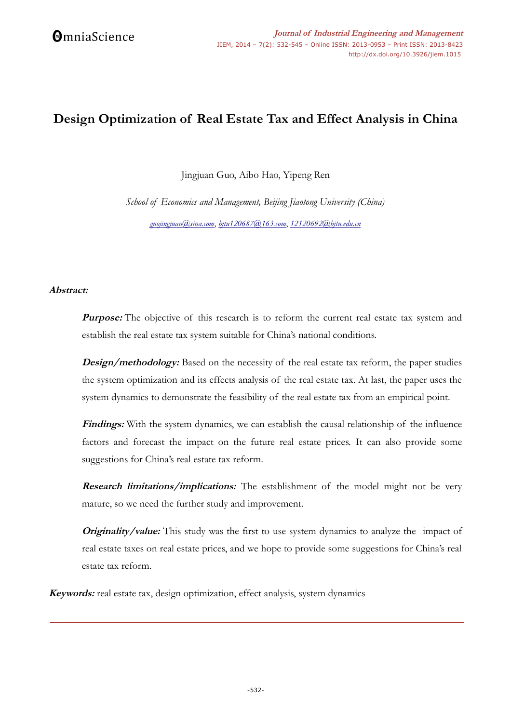# **Design Optimization of Real Estate Tax and Effect Analysis in China**

Jingjuan Guo, Aibo Hao, Yipeng Ren

*School of Economics and Management, Beijing Jiaotong University (China) [guojingjuan@sina.com](mailto:guojingjuan@sina.com)*, *[bjtu120687@163.com](mailto:bjtu120687@163.com)*, *[12120692@bjtu.edu.cn](mailto:12120692@bjtu.edu.cn)*

# **Abstract:**

**Purpose:** The objective of this research is to reform the current real estate tax system and establish the real estate tax system suitable for China's national conditions.

**Design/methodology:** Based on the necessity of the real estate tax reform, the paper studies the system optimization and its effects analysis of the real estate tax. At last, the paper uses the system dynamics to demonstrate the feasibility of the real estate tax from an empirical point.

Findings: With the system dynamics, we can establish the causal relationship of the influence factors and forecast the impact on the future real estate prices. It can also provide some suggestions for China's real estate tax reform.

**Research limitations/implications:** The establishment of the model might not be very mature, so we need the further study and improvement.

**Originality/value:** This study was the first to use system dynamics to analyze the impact of real estate taxes on real estate prices, and we hope to provide some suggestions for China's real estate tax reform.

**Keywords:** real estate tax, design optimization, effect analysis, system dynamics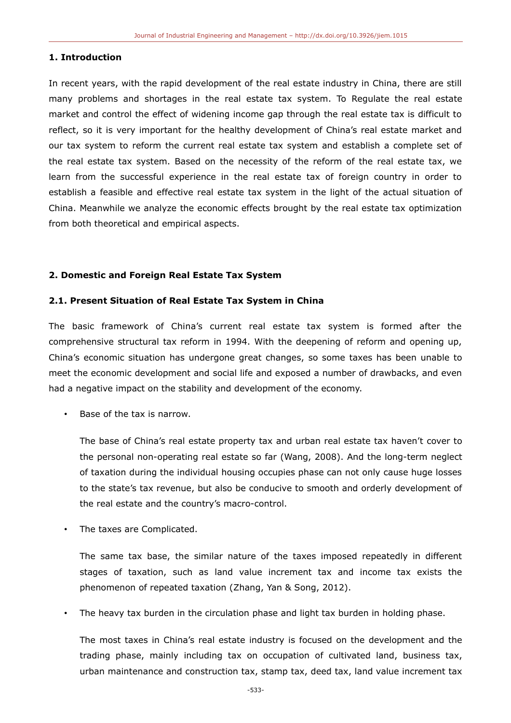#### **1. Introduction**

In recent years, with the rapid development of the real estate industry in China, there are still many problems and shortages in the real estate tax system. To Regulate the real estate market and control the effect of widening income gap through the real estate tax is difficult to reflect, so it is very important for the healthy development of China's real estate market and our tax system to reform the current real estate tax system and establish a complete set of the real estate tax system. Based on the necessity of the reform of the real estate tax, we learn from the successful experience in the real estate tax of foreign country in order to establish a feasible and effective real estate tax system in the light of the actual situation of China. Meanwhile we analyze the economic effects brought by the real estate tax optimization from both theoretical and empirical aspects.

## **2. Domestic and Foreign Real Estate Tax System**

## **2.1. Present Situation of Real Estate Tax System in China**

The basic framework of China's current real estate tax system is formed after the comprehensive structural tax reform in 1994. With the deepening of reform and opening up, China's economic situation has undergone great changes, so some taxes has been unable to meet the economic development and social life and exposed a number of drawbacks, and even had a negative impact on the stability and development of the economy.

• Base of the tax is narrow.

The base of China's real estate property tax and urban real estate tax haven't cover to the personal non-operating real estate so far (Wang, 2008). And the long-term neglect of taxation during the individual housing occupies phase can not only cause huge losses to the state's tax revenue, but also be conducive to smooth and orderly development of the real estate and the country's macro-control.

• The taxes are Complicated.

The same tax base, the similar nature of the taxes imposed repeatedly in different stages of taxation, such as land value increment tax and income tax exists the phenomenon of repeated taxation (Zhang, Yan & Song, 2012).

• The heavy tax burden in the circulation phase and light tax burden in holding phase.

The most taxes in China's real estate industry is focused on the development and the trading phase, mainly including tax on occupation of cultivated land, business tax, urban maintenance and construction tax, stamp tax, deed tax, land value increment tax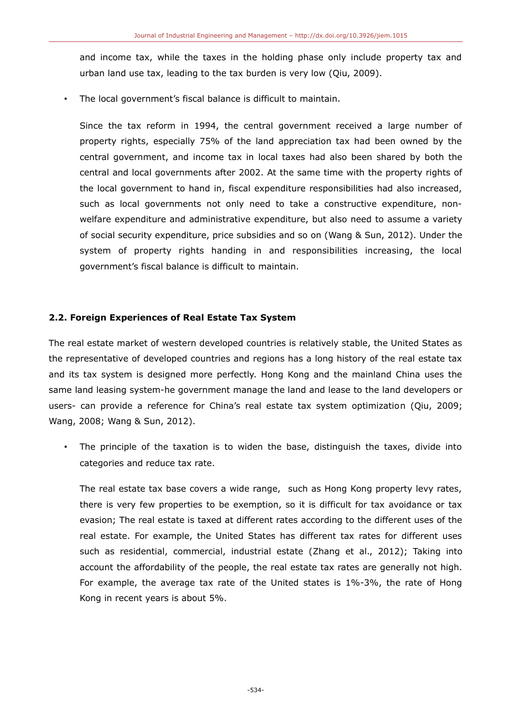and income tax, while the taxes in the holding phase only include property tax and urban land use tax, leading to the tax burden is very low (Qiu, 2009).

The local government's fiscal balance is difficult to maintain.

Since the tax reform in 1994, the central government received a large number of property rights, especially 75% of the land appreciation tax had been owned by the central government, and income tax in local taxes had also been shared by both the central and local governments after 2002. At the same time with the property rights of the local government to hand in, fiscal expenditure responsibilities had also increased, such as local governments not only need to take a constructive expenditure, nonwelfare expenditure and administrative expenditure, but also need to assume a variety of social security expenditure, price subsidies and so on (Wang & Sun, 2012). Under the system of property rights handing in and responsibilities increasing, the local government's fiscal balance is difficult to maintain.

# **2.2. Foreign Experiences of Real Estate Tax System**

The real estate market of western developed countries is relatively stable, the United States as the representative of developed countries and regions has a long history of the real estate tax and its tax system is designed more perfectly. Hong Kong and the mainland China uses the same land leasing system-he government manage the land and lease to the land developers or users- can provide a reference for China's real estate tax system optimization (Qiu, 2009; Wang, 2008; Wang & Sun, 2012).

• The principle of the taxation is to widen the base, distinguish the taxes, divide into categories and reduce tax rate.

The real estate tax base covers a wide range, such as Hong Kong property levy rates, there is very few properties to be exemption, so it is difficult for tax avoidance or tax evasion; The real estate is taxed at different rates according to the different uses of the real estate. For example, the United States has different tax rates for different uses such as residential, commercial, industrial estate (Zhang et al., 2012); Taking into account the affordability of the people, the real estate tax rates are generally not high. For example, the average tax rate of the United states is 1%-3%, the rate of Hong Kong in recent years is about 5%.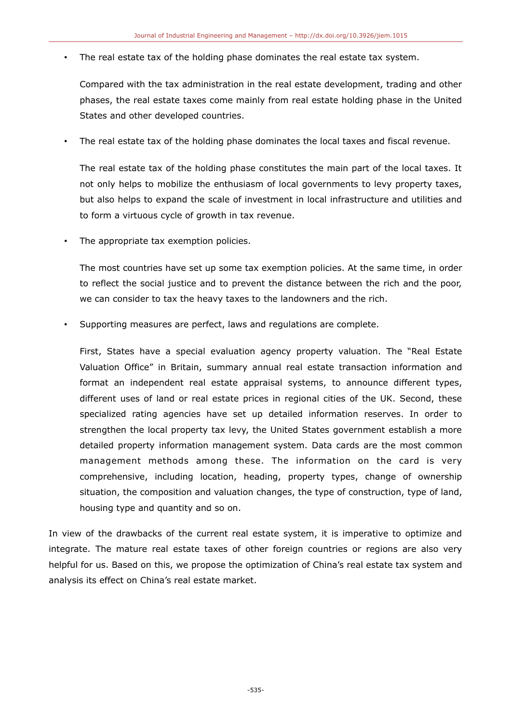• The real estate tax of the holding phase dominates the real estate tax system.

Compared with the tax administration in the real estate development, trading and other phases, the real estate taxes come mainly from real estate holding phase in the United States and other developed countries.

The real estate tax of the holding phase dominates the local taxes and fiscal revenue.

The real estate tax of the holding phase constitutes the main part of the local taxes. It not only helps to mobilize the enthusiasm of local governments to levy property taxes, but also helps to expand the scale of investment in local infrastructure and utilities and to form a virtuous cycle of growth in tax revenue.

• The appropriate tax exemption policies.

The most countries have set up some tax exemption policies. At the same time, in order to reflect the social justice and to prevent the distance between the rich and the poor, we can consider to tax the heavy taxes to the landowners and the rich.

• Supporting measures are perfect, laws and regulations are complete.

First, States have a special evaluation agency property valuation. The "Real Estate Valuation Office" in Britain, summary annual real estate transaction information and format an independent real estate appraisal systems, to announce different types, different uses of land or real estate prices in regional cities of the UK. Second, these specialized rating agencies have set up detailed information reserves. In order to strengthen the local property tax levy, the United States government establish a more detailed property information management system. Data cards are the most common management methods among these. The information on the card is very comprehensive, including location, heading, property types, change of ownership situation, the composition and valuation changes, the type of construction, type of land, housing type and quantity and so on.

In view of the drawbacks of the current real estate system, it is imperative to optimize and integrate. The mature real estate taxes of other foreign countries or regions are also very helpful for us. Based on this, we propose the optimization of China's real estate tax system and analysis its effect on China's real estate market.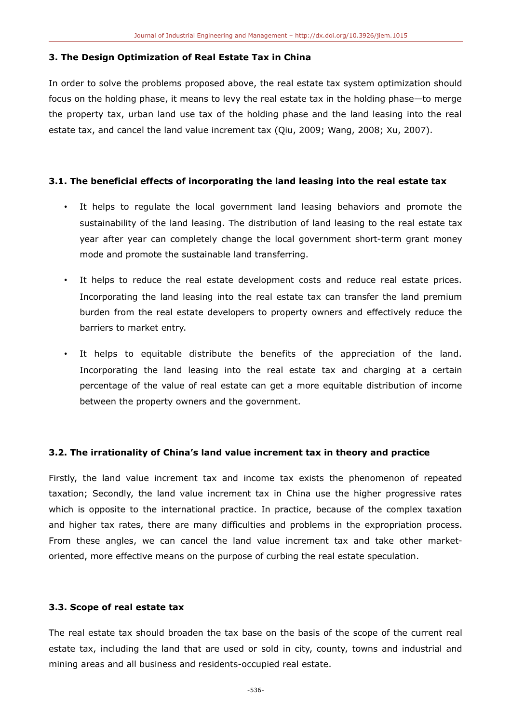#### **3. The Design Optimization of Real Estate Tax in China**

In order to solve the problems proposed above, the real estate tax system optimization should focus on the holding phase, it means to levy the real estate tax in the holding phase—to merge the property tax, urban land use tax of the holding phase and the land leasing into the real estate tax, and cancel the land value increment tax (Qiu, 2009; Wang, 2008; Xu, 2007).

## **3.1. The beneficial effects of incorporating the land leasing into the real estate tax**

- It helps to regulate the local government land leasing behaviors and promote the sustainability of the land leasing. The distribution of land leasing to the real estate tax year after year can completely change the local government short-term grant money mode and promote the sustainable land transferring.
- It helps to reduce the real estate development costs and reduce real estate prices. Incorporating the land leasing into the real estate tax can transfer the land premium burden from the real estate developers to property owners and effectively reduce the barriers to market entry.
- It helps to equitable distribute the benefits of the appreciation of the land. Incorporating the land leasing into the real estate tax and charging at a certain percentage of the value of real estate can get a more equitable distribution of income between the property owners and the government.

#### **3.2. The irrationality of China's land value increment tax in theory and practice**

Firstly, the land value increment tax and income tax exists the phenomenon of repeated taxation; Secondly, the land value increment tax in China use the higher progressive rates which is opposite to the international practice. In practice, because of the complex taxation and higher tax rates, there are many difficulties and problems in the expropriation process. From these angles, we can cancel the land value increment tax and take other marketoriented, more effective means on the purpose of curbing the real estate speculation.

#### **3.3. Scope of real estate tax**

The real estate tax should broaden the tax base on the basis of the scope of the current real estate tax, including the land that are used or sold in city, county, towns and industrial and mining areas and all business and residents-occupied real estate.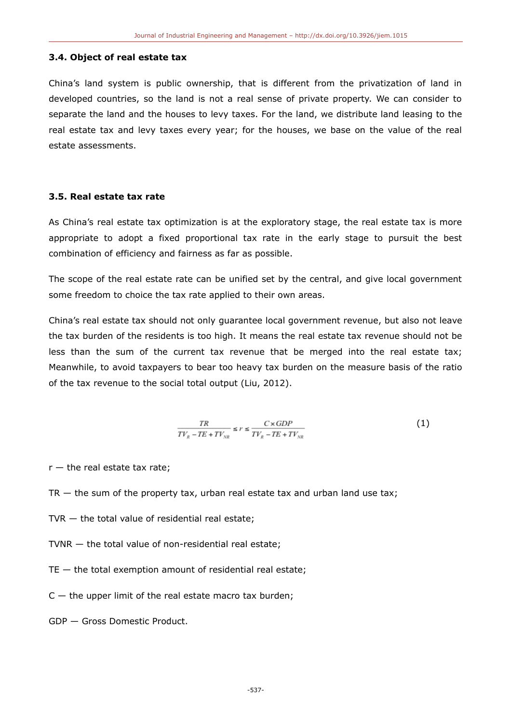#### **3.4. Object of real estate tax**

China's land system is public ownership, that is different from the privatization of land in developed countries, so the land is not a real sense of private property. We can consider to separate the land and the houses to levy taxes. For the land, we distribute land leasing to the real estate tax and levy taxes every year; for the houses, we base on the value of the real estate assessments.

#### **3.5. Real estate tax rate**

As China's real estate tax optimization is at the exploratory stage, the real estate tax is more appropriate to adopt a fixed proportional tax rate in the early stage to pursuit the best combination of efficiency and fairness as far as possible.

The scope of the real estate rate can be unified set by the central, and give local government some freedom to choice the tax rate applied to their own areas.

China's real estate tax should not only guarantee local government revenue, but also not leave the tax burden of the residents is too high. It means the real estate tax revenue should not be less than the sum of the current tax revenue that be merged into the real estate tax; Meanwhile, to avoid taxpayers to bear too heavy tax burden on the measure basis of the ratio of the tax revenue to the social total output (Liu, 2012).

$$
\frac{TR}{TV_R - TE + TV_{NR}} \le r \le \frac{C \times GDP}{TV_R - TE + TV_{NR}}
$$
\n(1)

 $r -$  the real estate tax rate;

TR — the sum of the property tax, urban real estate tax and urban land use tax;

- $TVR -$  the total value of residential real estate;
- TVNR the total value of non-residential real estate;
- $TE -$  the total exemption amount of residential real estate;
- $C -$  the upper limit of the real estate macro tax burden;
- GDP Gross Domestic Product.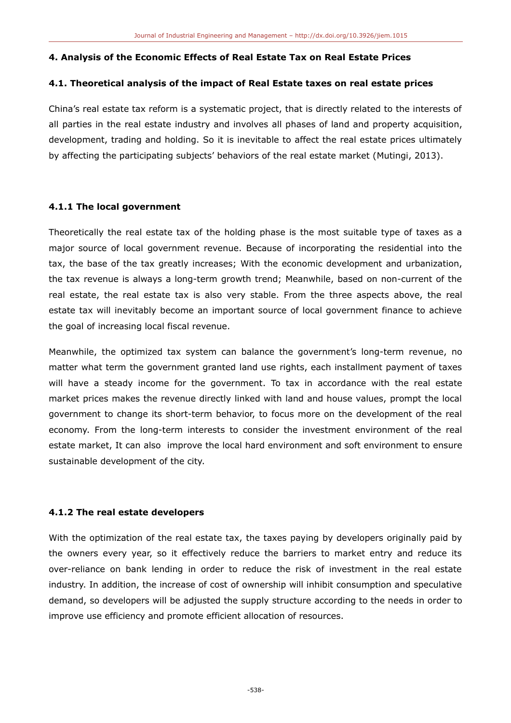# **4. Analysis of the Economic Effects of Real Estate Tax on Real Estate Prices**

# **4.1. Theoretical analysis of the impact of Real Estate taxes on real estate prices**

China's real estate tax reform is a systematic project, that is directly related to the interests of all parties in the real estate industry and involves all phases of land and property acquisition, development, trading and holding. So it is inevitable to affect the real estate prices ultimately by affecting the participating subjects' behaviors of the real estate market (Mutingi, 2013).

# **4.1.1 The local government**

Theoretically the real estate tax of the holding phase is the most suitable type of taxes as a major source of local government revenue. Because of incorporating the residential into the tax, the base of the tax greatly increases; With the economic development and urbanization, the tax revenue is always a long-term growth trend; Meanwhile, based on non-current of the real estate, the real estate tax is also very stable. From the three aspects above, the real estate tax will inevitably become an important source of local government finance to achieve the goal of increasing local fiscal revenue.

Meanwhile, the optimized tax system can balance the government's long-term revenue, no matter what term the government granted land use rights, each installment payment of taxes will have a steady income for the government. To tax in accordance with the real estate market prices makes the revenue directly linked with land and house values, prompt the local government to change its short-term behavior, to focus more on the development of the real economy. From the long-term interests to consider the investment environment of the real estate market, It can also improve the local hard environment and soft environment to ensure sustainable development of the city.

# **4.1.2 The real estate developers**

With the optimization of the real estate tax, the taxes paying by developers originally paid by the owners every year, so it effectively reduce the barriers to market entry and reduce its over-reliance on bank lending in order to reduce the risk of investment in the real estate industry. In addition, the increase of cost of ownership will inhibit consumption and speculative demand, so developers will be adjusted the supply structure according to the needs in order to improve use efficiency and promote efficient allocation of resources.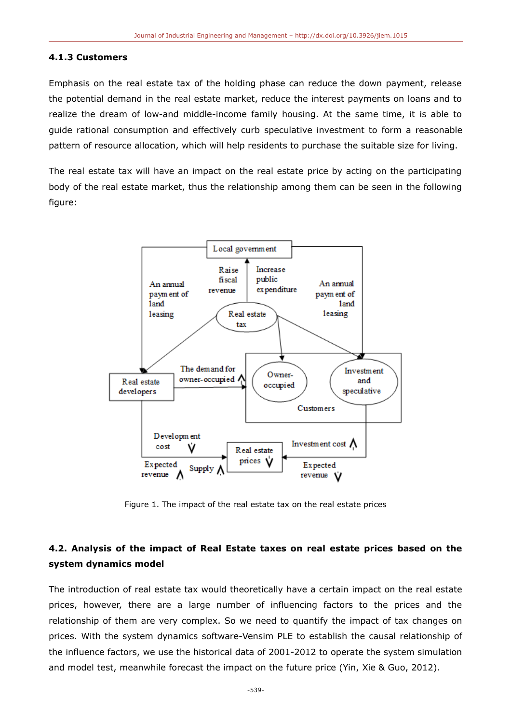#### **4.1.3 Customers**

Emphasis on the real estate tax of the holding phase can reduce the down payment, release the potential demand in the real estate market, reduce the interest payments on loans and to realize the dream of low-and middle-income family housing. At the same time, it is able to guide rational consumption and effectively curb speculative investment to form a reasonable pattern of resource allocation, which will help residents to purchase the suitable size for living.

The real estate tax will have an impact on the real estate price by acting on the participating body of the real estate market, thus the relationship among them can be seen in the following figure:



Figure 1. The impact of the real estate tax on the real estate prices

# **4.2. Analysis of the impact of Real Estate taxes on real estate prices based on the system dynamics model**

The introduction of real estate tax would theoretically have a certain impact on the real estate prices, however, there are a large number of influencing factors to the prices and the relationship of them are very complex. So we need to quantify the impact of tax changes on prices. With the system dynamics software-Vensim PLE to establish the causal relationship of the influence factors, we use the historical data of 2001-2012 to operate the system simulation and model test, meanwhile forecast the impact on the future price (Yin, Xie & Guo, 2012).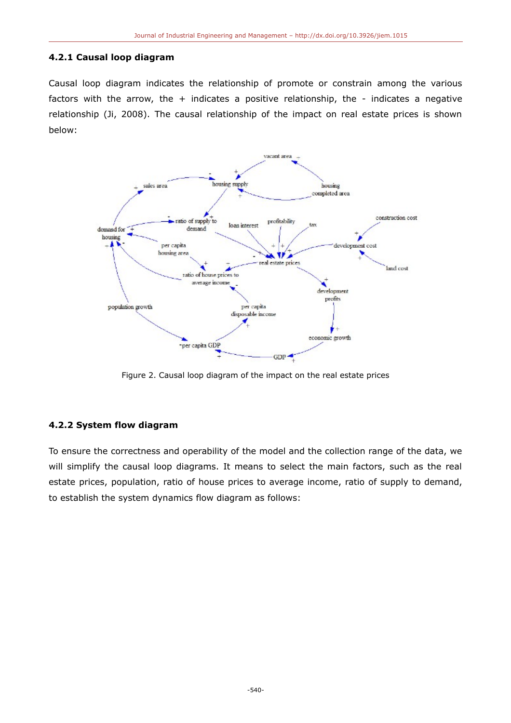#### **4.2.1 Causal loop diagram**

Causal loop diagram indicates the relationship of promote or constrain among the various factors with the arrow, the  $+$  indicates a positive relationship, the - indicates a negative relationship (Ji, 2008). The causal relationship of the impact on real estate prices is shown below:



Figure 2. Causal loop diagram of the impact on the real estate prices

#### **4.2.2 System flow diagram**

To ensure the correctness and operability of the model and the collection range of the data, we will simplify the causal loop diagrams. It means to select the main factors, such as the real estate prices, population, ratio of house prices to average income, ratio of supply to demand, to establish the system dynamics flow diagram as follows: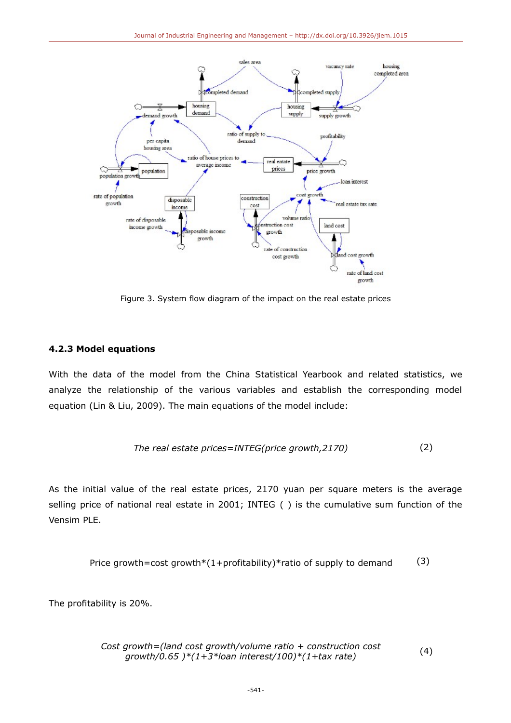

Figure 3. System flow diagram of the impact on the real estate prices

## **4.2.3 Model equations**

With the data of the model from the China Statistical Yearbook and related statistics, we analyze the relationship of the various variables and establish the corresponding model equation (Lin & Liu, 2009). The main equations of the model include:

The real estate prices = 
$$
INTEG(price growth, 2170)
$$
 (2)

As the initial value of the real estate prices, 2170 yuan per square meters is the average selling price of national real estate in 2001; INTEG () is the cumulative sum function of the Vensim PLE.

Price growth = cost growth
$$
(1+profitability)*ratio of supply to demand
$$
 (3)

The profitability is 20%.

Cost growth=(land cost growth/volume ratio + construction cost  
growth/0.65)\*
$$
(1+3*load
$$
 interest/100)\* $(1+tax$  rate) (4)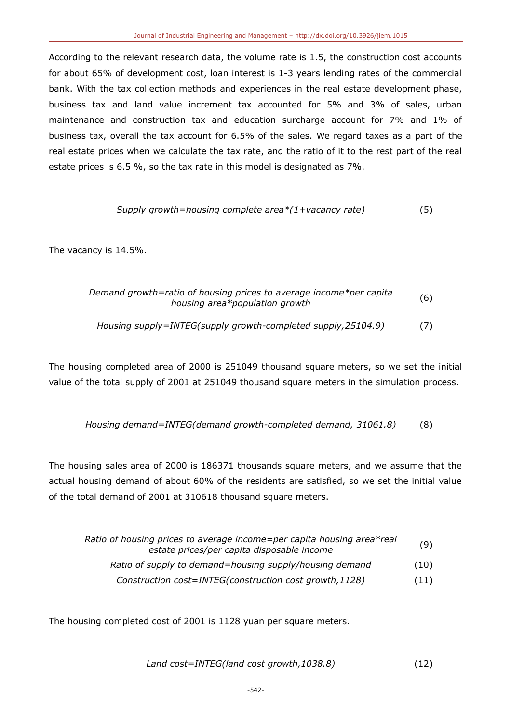According to the relevant research data, the volume rate is 1.5, the construction cost accounts for about 65% of development cost, loan interest is 1-3 years lending rates of the commercial bank. With the tax collection methods and experiences in the real estate development phase, business tax and land value increment tax accounted for 5% and 3% of sales, urban maintenance and construction tax and education surcharge account for 7% and 1% of business tax, overall the tax account for 6.5% of the sales. We regard taxes as a part of the real estate prices when we calculate the tax rate, and the ratio of it to the rest part of the real estate prices is 6.5 %, so the tax rate in this model is designated as 7%.

Supply growth = housing complete area
$$
(1 + \text{vacancy rate})
$$

\n(5)

The vacancy is 14.5%.

| Demand growth=ratio of housing prices to average income*per capita<br>housing area*population growth |     |  |
|------------------------------------------------------------------------------------------------------|-----|--|
| Housing supply=INTEG(supply growth-completed supply, 25104.9)                                        | (7) |  |

The housing completed area of 2000 is 251049 thousand square meters, so we set the initial value of the total supply of 2001 at 251049 thousand square meters in the simulation process.

*Housing demand=INTEG(demand growth-completed demand, 31061.8)* (8)

The housing sales area of 2000 is 186371 thousands square meters, and we assume that the actual housing demand of about 60% of the residents are satisfied, so we set the initial value of the total demand of 2001 at 310618 thousand square meters.

| Ratio of housing prices to average income=per capita housing area*real<br>estate prices/per capita disposable income |      |  |  |  |  |
|----------------------------------------------------------------------------------------------------------------------|------|--|--|--|--|
| Ratio of supply to demand=housing supply/housing demand                                                              | (10) |  |  |  |  |
| Construction cost=INTEG(construction cost growth, 1128)                                                              | (11) |  |  |  |  |

The housing completed cost of 2001 is 1128 yuan per square meters.

$$
Land cost = INTEG (land cost growth, 1038.8)
$$
 (12)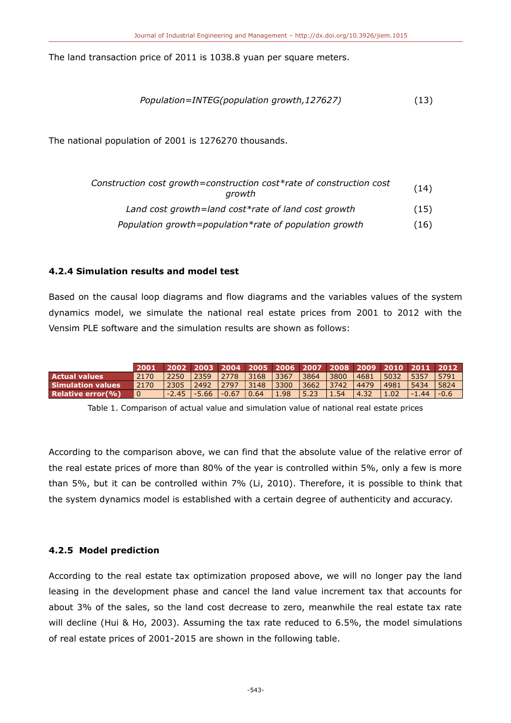The land transaction price of 2011 is 1038.8 yuan per square meters.

*Population=INTEG(population growth,127627)* (13)

The national population of 2001 is 1276270 thousands.

| Construction cost growth=construction cost*rate of construction cost<br>growth | (14) |
|--------------------------------------------------------------------------------|------|
| Land cost growth=land cost*rate of land cost growth                            | (15) |
| Population growth=population *rate of population growth                        | (16) |

# **4.2.4 Simulation results and model test**

Based on the causal loop diagrams and flow diagrams and the variables values of the system dynamics model, we simulate the national real estate prices from 2001 to 2012 with the Vensim PLE software and the simulation results are shown as follows:

|                      | $\sqrt{2001}$ |         |                        |             |      |      |                |      |      |                  | $\mid$ 2002 2003 2004 2005 2006 2007 2008 2009 2010 2011 2012 |
|----------------------|---------------|---------|------------------------|-------------|------|------|----------------|------|------|------------------|---------------------------------------------------------------|
| <b>Actual values</b> | 2170          | 2250    | 2359  2778  3168  3367 |             |      | 3864 | 3800           | 4681 | 5032 | $\frac{1}{5357}$ | 5791                                                          |
| Simulation values    | 2170          | 2305    | 2492                   | 2797   3148 | 3300 | 3662 | $ 3742\rangle$ | 4479 | 4981 | 5434             | 5824                                                          |
| Relative error(%)    |               | $-2.45$ | -5.66  -0.67  0.64     |             | 1.98 | 5.23 | 1.54           | 4.32 | 1.02 | $-1.44$          | $-0.6$                                                        |

Table 1. Comparison of actual value and simulation value of national real estate prices

According to the comparison above, we can find that the absolute value of the relative error of the real estate prices of more than 80% of the year is controlled within 5%, only a few is more than 5%, but it can be controlled within 7% (Li, 2010). Therefore, it is possible to think that the system dynamics model is established with a certain degree of authenticity and accuracy.

# **4.2.5 Model prediction**

According to the real estate tax optimization proposed above, we will no longer pay the land leasing in the development phase and cancel the land value increment tax that accounts for about 3% of the sales, so the land cost decrease to zero, meanwhile the real estate tax rate will decline (Hui & Ho, 2003). Assuming the tax rate reduced to 6.5%, the model simulations of real estate prices of 2001-2015 are shown in the following table.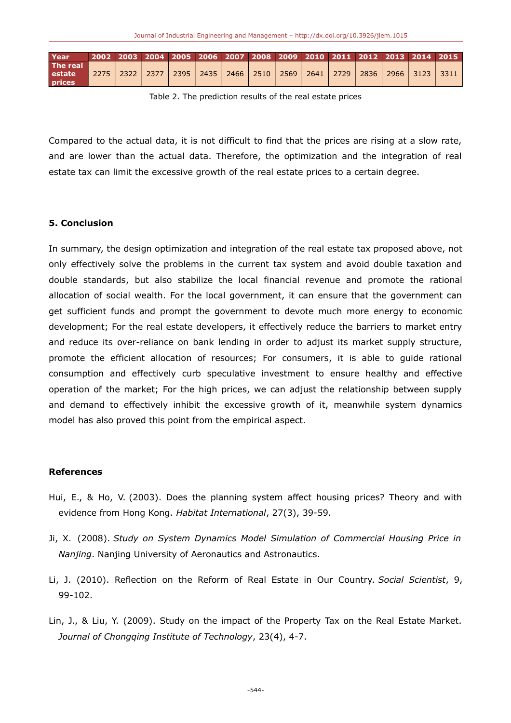| <b>Year</b>   |  | 2002   2003   2004   2005   2006   2007   2008   2009   2010   2011   2012   2013   2014   2015 |  |  |  |  |                                                                                                 |
|---------------|--|-------------------------------------------------------------------------------------------------|--|--|--|--|-------------------------------------------------------------------------------------------------|
| l The real    |  |                                                                                                 |  |  |  |  |                                                                                                 |
| l estate      |  |                                                                                                 |  |  |  |  | 2275   2322   2377   2395   2435   2466   2510   2569   2641   2729   2836   2966   3123   3311 |
| <b>prices</b> |  |                                                                                                 |  |  |  |  |                                                                                                 |

Table 2. The prediction results of the real estate prices

Compared to the actual data, it is not difficult to find that the prices are rising at a slow rate, and are lower than the actual data. Therefore, the optimization and the integration of real estate tax can limit the excessive growth of the real estate prices to a certain degree.

## **5. Conclusion**

In summary, the design optimization and integration of the real estate tax proposed above, not only effectively solve the problems in the current tax system and avoid double taxation and double standards, but also stabilize the local financial revenue and promote the rational allocation of social wealth. For the local government, it can ensure that the government can get sufficient funds and prompt the government to devote much more energy to economic development; For the real estate developers, it effectively reduce the barriers to market entry and reduce its over-reliance on bank lending in order to adjust its market supply structure, promote the efficient allocation of resources; For consumers, it is able to guide rational consumption and effectively curb speculative investment to ensure healthy and effective operation of the market; For the high prices, we can adjust the relationship between supply and demand to effectively inhibit the excessive growth of it, meanwhile system dynamics model has also proved this point from the empirical aspect.

#### **References**

- Hui, E., & Ho, V. (2003). Does the planning system affect housing prices? Theory and with evidence from Hong Kong. *Habitat International*, 27(3), 39-59.
- Ji, X. (2008). *Study on System Dynamics Model Simulation of Commercial Housing Price in Nanjing*. Nanjing University of Aeronautics and Astronautics.
- Li, J. (2010). Reflection on the Reform of Real Estate in Our Country. *Social Scientist*, 9, 99-102.
- Lin, J., & Liu, Y. (2009). Study on the impact of the Property Tax on the Real Estate Market. *Journal of Chongqing Institute of Technology*, 23(4), 4-7.